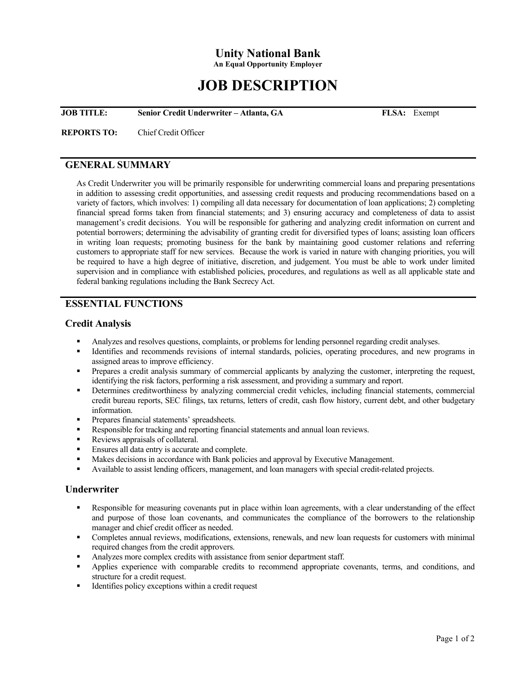# **Unity National Bank**

**An Equal Opportunity Employer**

# **JOB DESCRIPTION**

**JOB TITLE: Senior Credit Underwriter – Atlanta, GA FLSA:** Exempt

**REPORTS TO:** Chief Credit Officer

# **GENERAL SUMMARY**

As Credit Underwriter you will be primarily responsible for underwriting commercial loans and preparing presentations in addition to assessing credit opportunities, and assessing credit requests and producing recommendations based on a variety of factors, which involves: 1) compiling all data necessary for documentation of loan applications; 2) completing financial spread forms taken from financial statements; and 3) ensuring accuracy and completeness of data to assist management's credit decisions. You will be responsible for gathering and analyzing credit information on current and potential borrowers; determining the advisability of granting credit for diversified types of loans; assisting loan officers in writing loan requests; promoting business for the bank by maintaining good customer relations and referring customers to appropriate staff for new services. Because the work is varied in nature with changing priorities, you will be required to have a high degree of initiative, discretion, and judgement. You must be able to work under limited supervision and in compliance with established policies, procedures, and regulations as well as all applicable state and federal banking regulations including the Bank Secrecy Act.

### **ESSENTIAL FUNCTIONS**

#### **Credit Analysis**

- Analyzes and resolves questions, complaints, or problems for lending personnel regarding credit analyses.
- Identifies and recommends revisions of internal standards, policies, operating procedures, and new programs in assigned areas to improve efficiency.
- Prepares a credit analysis summary of commercial applicants by analyzing the customer, interpreting the request, identifying the risk factors, performing a risk assessment, and providing a summary and report.
- Determines creditworthiness by analyzing commercial credit vehicles, including financial statements, commercial credit bureau reports, SEC filings, tax returns, letters of credit, cash flow history, current debt, and other budgetary information.
- **Prepares financial statements' spreadsheets.**
- Responsible for tracking and reporting financial statements and annual loan reviews.
- Reviews appraisals of collateral.
- **Ensures all data entry is accurate and complete.**
- Makes decisions in accordance with Bank policies and approval by Executive Management.
- Available to assist lending officers, management, and loan managers with special credit-related projects.

#### **Underwriter**

- Responsible for measuring covenants put in place within loan agreements, with a clear understanding of the effect and purpose of those loan covenants, and communicates the compliance of the borrowers to the relationship manager and chief credit officer as needed.
- Completes annual reviews, modifications, extensions, renewals, and new loan requests for customers with minimal required changes from the credit approvers.
- Analyzes more complex credits with assistance from senior department staff.
- Applies experience with comparable credits to recommend appropriate covenants, terms, and conditions, and structure for a credit request.
- Identifies policy exceptions within a credit request